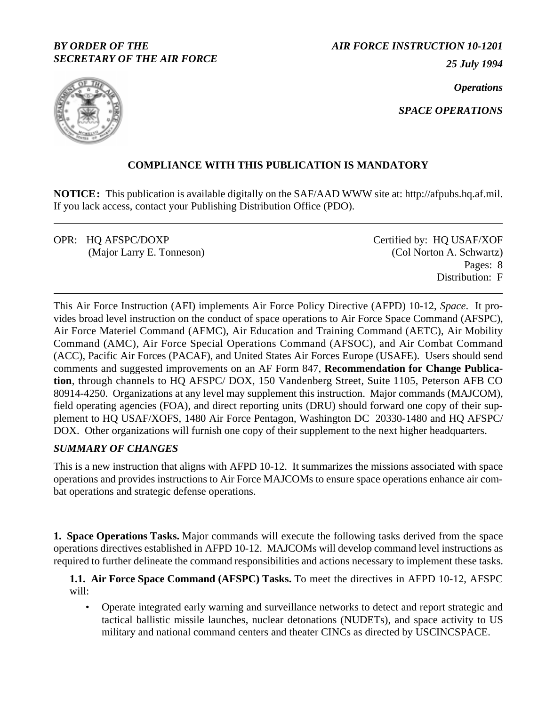## *BY ORDER OF THE SECRETARY OF THE AIR FORCE*

*25 July 1994*

*Operations*

*SPACE OPERATIONS*



# **COMPLIANCE WITH THIS PUBLICATION IS MANDATORY**

**NOTICE:** This publication is available digitally on the SAF/AAD WWW site at: http://afpubs.hq.af.mil. If you lack access, contact your Publishing Distribution Office (PDO).

OPR: HQ AFSPC/DOXP (Major Larry E. Tonneson) Certified by: HQ USAF/XOF (Col Norton A. Schwartz) Pages: 8 Distribution: F

This Air Force Instruction (AFI) implements Air Force Policy Directive (AFPD) 10-12, *Space*. It provides broad level instruction on the conduct of space operations to Air Force Space Command (AFSPC), Air Force Materiel Command (AFMC), Air Education and Training Command (AETC), Air Mobility Command (AMC), Air Force Special Operations Command (AFSOC), and Air Combat Command (ACC), Pacific Air Forces (PACAF), and United States Air Forces Europe (USAFE). Users should send comments and suggested improvements on an AF Form 847, **Recommendation for Change Publication**, through channels to HQ AFSPC/ DOX, 150 Vandenberg Street, Suite 1105, Peterson AFB CO 80914-4250. Organizations at any level may supplement this instruction. Major commands (MAJCOM), field operating agencies (FOA), and direct reporting units (DRU) should forward one copy of their supplement to HQ USAF/XOFS, 1480 Air Force Pentagon, Washington DC 20330-1480 and HQ AFSPC/ DOX. Other organizations will furnish one copy of their supplement to the next higher headquarters.

# *SUMMARY OF CHANGES*

This is a new instruction that aligns with AFPD 10-12. It summarizes the missions associated with space operations and provides instructions to Air Force MAJCOMs to ensure space operations enhance air combat operations and strategic defense operations.

**1. Space Operations Tasks.** Major commands will execute the following tasks derived from the space operations directives established in AFPD 10-12. MAJCOMs will develop command level instructions as required to further delineate the command responsibilities and actions necessary to implement these tasks.

**1.1. Air Force Space Command (AFSPC) Tasks.** To meet the directives in AFPD 10-12, AFSPC will:

• Operate integrated early warning and surveillance networks to detect and report strategic and tactical ballistic missile launches, nuclear detonations (NUDETs), and space activity to US military and national command centers and theater CINCs as directed by USCINCSPACE*.*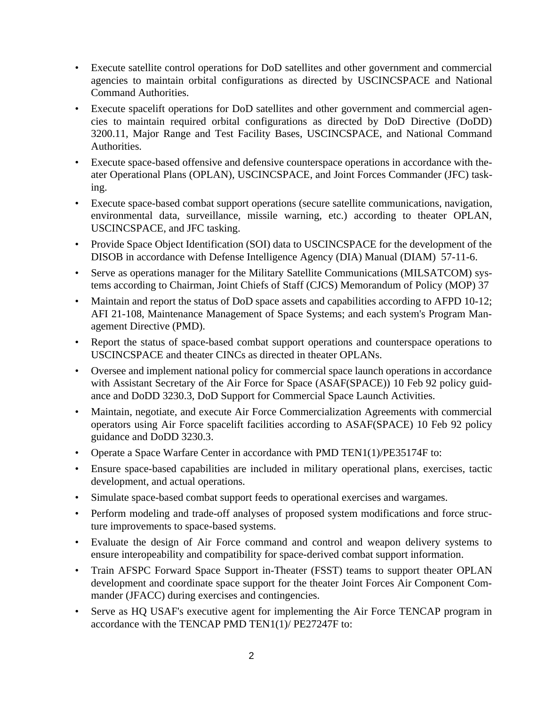- Execute satellite control operations for DoD satellites and other government and commercial agencies to maintain orbital configurations as directed by USCINCSPACE and National Command Authorities.
- Execute spacelift operations for DoD satellites and other government and commercial agencies to maintain required orbital configurations as directed by DoD Directive (DoDD) 3200.11, Major Range and Test Facility Bases, USCINCSPACE, and National Command Authorities.
- Execute space-based offensive and defensive counterspace operations in accordance with theater Operational Plans (OPLAN), USCINCSPACE, and Joint Forces Commander (JFC) tasking.
- Execute space-based combat support operations (secure satellite communications, navigation, environmental data, surveillance, missile warning, etc.) according to theater OPLAN, USCINCSPACE, and JFC tasking.
- Provide Space Object Identification (SOI) data to USCINCSPACE for the development of the DISOB in accordance with Defense Intelligence Agency (DIA) Manual (DIAM) 57-11-6.
- Serve as operations manager for the Military Satellite Communications (MILSATCOM) systems according to Chairman, Joint Chiefs of Staff (CJCS) Memorandum of Policy (MOP) 37
- Maintain and report the status of DoD space assets and capabilities according to AFPD 10-12; AFI 21-108, Maintenance Management of Space Systems; and each system's Program Management Directive (PMD).
- Report the status of space-based combat support operations and counterspace operations to USCINCSPACE and theater CINCs as directed in theater OPLANs.
- Oversee and implement national policy for commercial space launch operations in accordance with Assistant Secretary of the Air Force for Space (ASAF(SPACE)) 10 Feb 92 policy guidance and DoDD 3230.3, DoD Support for Commercial Space Launch Activities.
- Maintain, negotiate, and execute Air Force Commercialization Agreements with commercial operators using Air Force spacelift facilities according to ASAF(SPACE) 10 Feb 92 policy guidance and DoDD 3230.3.
- Operate a Space Warfare Center in accordance with PMD TEN1(1)/PE35174F to:
- Ensure space-based capabilities are included in military operational plans, exercises, tactic development, and actual operations.
- Simulate space-based combat support feeds to operational exercises and wargames.
- Perform modeling and trade-off analyses of proposed system modifications and force structure improvements to space-based systems.
- Evaluate the design of Air Force command and control and weapon delivery systems to ensure interopeability and compatibility for space-derived combat support information.
- Train AFSPC Forward Space Support in-Theater (FSST) teams to support theater OPLAN development and coordinate space support for the theater Joint Forces Air Component Commander (JFACC) during exercises and contingencies.
- Serve as HQ USAF's executive agent for implementing the Air Force TENCAP program in accordance with the TENCAP PMD TEN1(1)/ PE27247F to: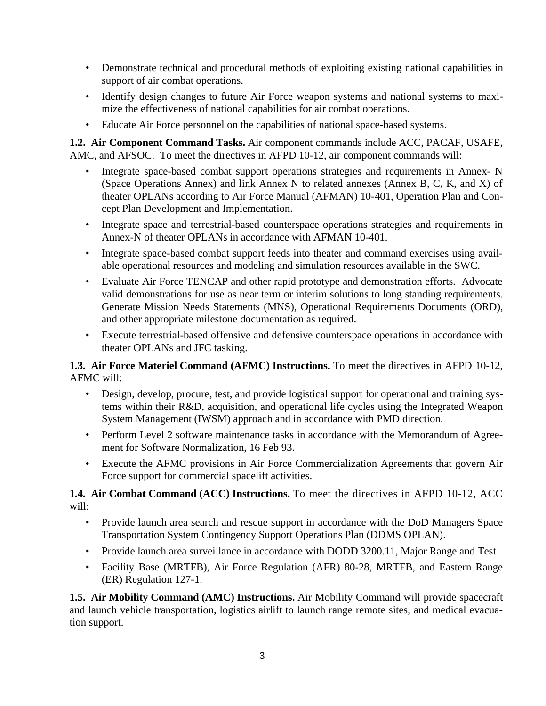- Demonstrate technical and procedural methods of exploiting existing national capabilities in support of air combat operations.
- Identify design changes to future Air Force weapon systems and national systems to maximize the effectiveness of national capabilities for air combat operations.
- Educate Air Force personnel on the capabilities of national space-based systems.

**1.2. Air Component Command Tasks.** Air component commands include ACC, PACAF, USAFE, AMC, and AFSOC. To meet the directives in AFPD 10-12, air component commands will:

- Integrate space-based combat support operations strategies and requirements in Annex- N (Space Operations Annex) and link Annex N to related annexes (Annex B, C, K, and X) of theater OPLANs according to Air Force Manual (AFMAN) 10-401, Operation Plan and Concept Plan Development and Implementation.
- Integrate space and terrestrial-based counterspace operations strategies and requirements in Annex-N of theater OPLANs in accordance with AFMAN 10-401.
- Integrate space-based combat support feeds into theater and command exercises using available operational resources and modeling and simulation resources available in the SWC.
- Evaluate Air Force TENCAP and other rapid prototype and demonstration efforts. Advocate valid demonstrations for use as near term or interim solutions to long standing requirements. Generate Mission Needs Statements (MNS), Operational Requirements Documents (ORD), and other appropriate milestone documentation as required.
- Execute terrestrial-based offensive and defensive counterspace operations in accordance with theater OPLANs and JFC tasking.

**1.3. Air Force Materiel Command (AFMC) Instructions.** To meet the directives in AFPD 10-12, AFMC will:

- Design, develop, procure, test, and provide logistical support for operational and training systems within their R&D, acquisition, and operational life cycles using the Integrated Weapon System Management (IWSM) approach and in accordance with PMD direction.
- Perform Level 2 software maintenance tasks in accordance with the Memorandum of Agreement for Software Normalization, 16 Feb 93.
- Execute the AFMC provisions in Air Force Commercialization Agreements that govern Air Force support for commercial spacelift activities.

**1.4. Air Combat Command (ACC) Instructions.** To meet the directives in AFPD 10-12, ACC will:

- Provide launch area search and rescue support in accordance with the DoD Managers Space Transportation System Contingency Support Operations Plan (DDMS OPLAN).
- Provide launch area surveillance in accordance with DODD 3200.11, Major Range and Test
- Facility Base (MRTFB), Air Force Regulation (AFR) 80-28, MRTFB, and Eastern Range (ER) Regulation 127-1.

**1.5. Air Mobility Command (AMC) Instructions.** Air Mobility Command will provide spacecraft and launch vehicle transportation, logistics airlift to launch range remote sites, and medical evacuation support.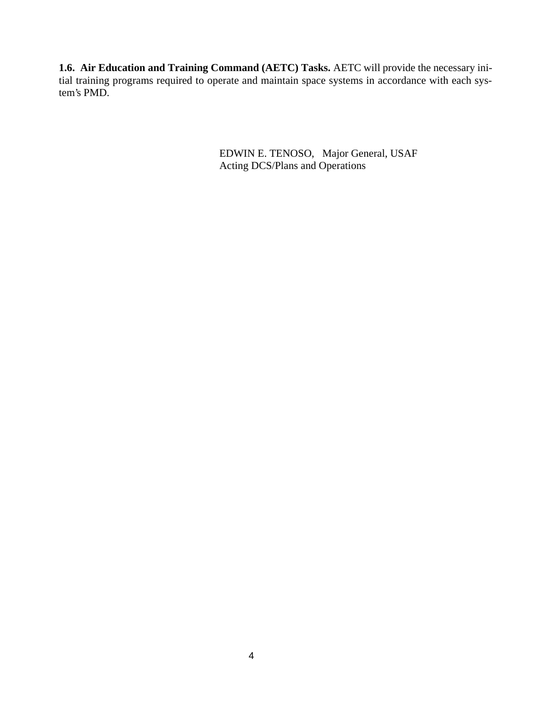**1.6. Air Education and Training Command (AETC) Tasks.** AETC will provide the necessary initial training programs required to operate and maintain space systems in accordance with each system's PMD.

> EDWIN E. TENOSO, Major General, USAF Acting DCS/Plans and Operations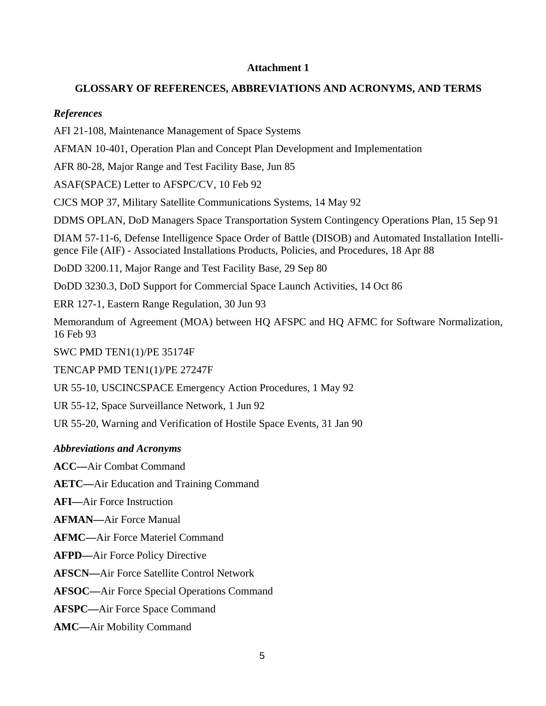#### **Attachment 1**

#### **GLOSSARY OF REFERENCES, ABBREVIATIONS AND ACRONYMS, AND TERMS**

#### *References*

AFI 21-108, Maintenance Management of Space Systems

AFMAN 10-401, Operation Plan and Concept Plan Development and Implementation

AFR 80-28, Major Range and Test Facility Base, Jun 85

ASAF(SPACE) Letter to AFSPC/CV, 10 Feb 92

CJCS MOP 37, Military Satellite Communications Systems, 14 May 92

DDMS OPLAN, DoD Managers Space Transportation System Contingency Operations Plan, 15 Sep 91

DIAM 57-11-6, Defense Intelligence Space Order of Battle (DISOB) and Automated Installation Intelligence File (AIF) - Associated Installations Products, Policies, and Procedures, 18 Apr 88

DoDD 3200.11, Major Range and Test Facility Base, 29 Sep 80

DoDD 3230.3, DoD Support for Commercial Space Launch Activities, 14 Oct 86

ERR 127-1, Eastern Range Regulation, 30 Jun 93

Memorandum of Agreement (MOA) between HQ AFSPC and HQ AFMC for Software Normalization, 16 Feb 93

SWC PMD TEN1(1)/PE 35174F

TENCAP PMD TEN1(1)/PE 27247F

UR 55-10, USCINCSPACE Emergency Action Procedures, 1 May 92

UR 55-12, Space Surveillance Network, 1 Jun 92

UR 55-20, Warning and Verification of Hostile Space Events, 31 Jan 90

#### *Abbreviations and Acronyms*

**ACC—**Air Combat Command

**AETC—**Air Education and Training Command

**AFI—**Air Force Instruction

**AFMAN—**Air Force Manual

**AFMC—**Air Force Materiel Command

**AFPD—**Air Force Policy Directive

**AFSCN—**Air Force Satellite Control Network

**AFSOC—**Air Force Special Operations Command

**AFSPC—**Air Force Space Command

**AMC—**Air Mobility Command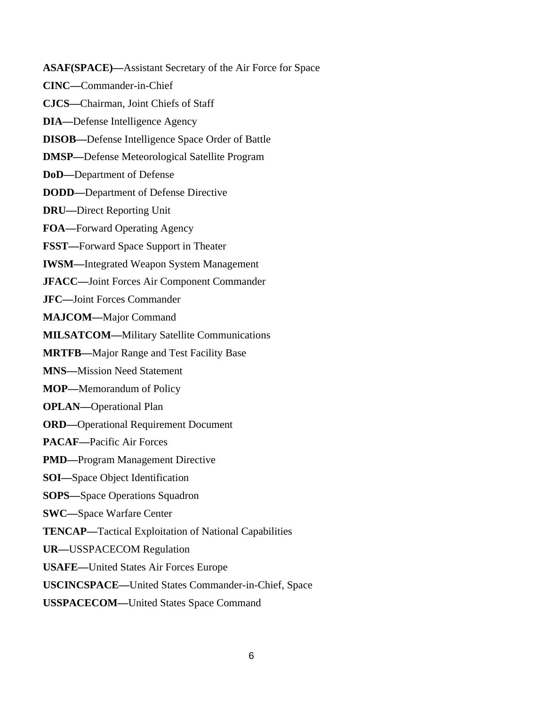**ASAF(SPACE)—**Assistant Secretary of the Air Force for Space **CINC—**Commander-in-Chief **CJCS—**Chairman, Joint Chiefs of Staff **DIA—**Defense Intelligence Agency **DISOB—**Defense Intelligence Space Order of Battle **DMSP—**Defense Meteorological Satellite Program **DoD—**Department of Defense **DODD—**Department of Defense Directive **DRU—**Direct Reporting Unit **FOA—**Forward Operating Agency **FSST—**Forward Space Support in Theater **IWSM—**Integrated Weapon System Management **JFACC—**Joint Forces Air Component Commander **JFC—**Joint Forces Commander **MAJCOM—**Major Command **MILSATCOM—**Military Satellite Communications **MRTFB—**Major Range and Test Facility Base **MNS—**Mission Need Statement **MOP—**Memorandum of Policy **OPLAN—**Operational Plan **ORD—**Operational Requirement Document **PACAF—**Pacific Air Forces **PMD—**Program Management Directive **SOI—**Space Object Identification **SOPS—**Space Operations Squadron **SWC—**Space Warfare Center **TENCAP—**Tactical Exploitation of National Capabilities **UR—**USSPACECOM Regulation **USAFE—**United States Air Forces Europe **USCINCSPACE—**United States Commander-in-Chief, Space **USSPACECOM—**United States Space Command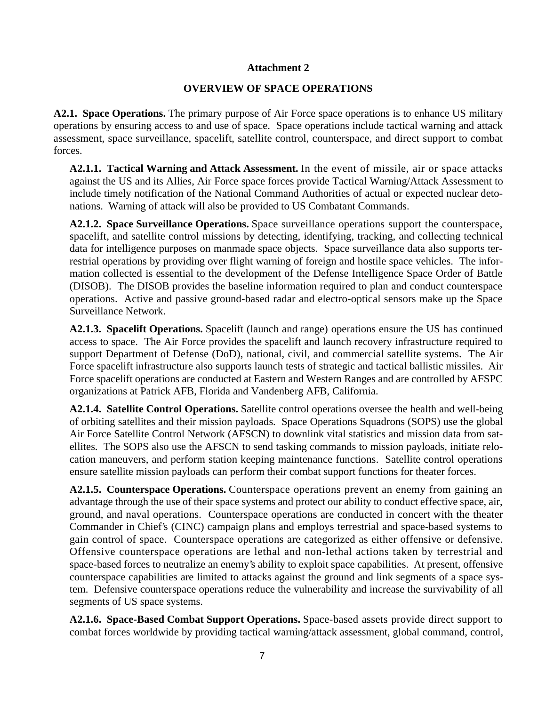### **Attachment 2**

### **OVERVIEW OF SPACE OPERATIONS**

**A2.1. Space Operations.** The primary purpose of Air Force space operations is to enhance US military operations by ensuring access to and use of space. Space operations include tactical warning and attack assessment, space surveillance, spacelift, satellite control, counterspace, and direct support to combat forces.

**A2.1.1. Tactical Warning and Attack Assessment.** In the event of missile, air or space attacks against the US and its Allies, Air Force space forces provide Tactical Warning/Attack Assessment to include timely notification of the National Command Authorities of actual or expected nuclear detonations. Warning of attack will also be provided to US Combatant Commands.

**A2.1.2. Space Surveillance Operations.** Space surveillance operations support the counterspace, spacelift, and satellite control missions by detecting, identifying, tracking, and collecting technical data for intelligence purposes on manmade space objects. Space surveillance data also supports terrestrial operations by providing over flight warning of foreign and hostile space vehicles. The information collected is essential to the development of the Defense Intelligence Space Order of Battle (DISOB). The DISOB provides the baseline information required to plan and conduct counterspace operations. Active and passive ground-based radar and electro-optical sensors make up the Space Surveillance Network.

**A2.1.3. Spacelift Operations.** Spacelift (launch and range) operations ensure the US has continued access to space. The Air Force provides the spacelift and launch recovery infrastructure required to support Department of Defense (DoD), national, civil, and commercial satellite systems. The Air Force spacelift infrastructure also supports launch tests of strategic and tactical ballistic missiles. Air Force spacelift operations are conducted at Eastern and Western Ranges and are controlled by AFSPC organizations at Patrick AFB, Florida and Vandenberg AFB, California.

**A2.1.4. Satellite Control Operations.** Satellite control operations oversee the health and well-being of orbiting satellites and their mission payloads. Space Operations Squadrons (SOPS) use the global Air Force Satellite Control Network (AFSCN) to downlink vital statistics and mission data from satellites. The SOPS also use the AFSCN to send tasking commands to mission payloads, initiate relocation maneuvers, and perform station keeping maintenance functions. Satellite control operations ensure satellite mission payloads can perform their combat support functions for theater forces.

**A2.1.5. Counterspace Operations.** Counterspace operations prevent an enemy from gaining an advantage through the use of their space systems and protect our ability to conduct effective space, air, ground, and naval operations. Counterspace operations are conducted in concert with the theater Commander in Chief's (CINC) campaign plans and employs terrestrial and space-based systems to gain control of space. Counterspace operations are categorized as either offensive or defensive. Offensive counterspace operations are lethal and non-lethal actions taken by terrestrial and space-based forces to neutralize an enemy's ability to exploit space capabilities. At present, offensive counterspace capabilities are limited to attacks against the ground and link segments of a space system. Defensive counterspace operations reduce the vulnerability and increase the survivability of all segments of US space systems.

**A2.1.6. Space-Based Combat Support Operations.** Space-based assets provide direct support to combat forces worldwide by providing tactical warning/attack assessment, global command, control,